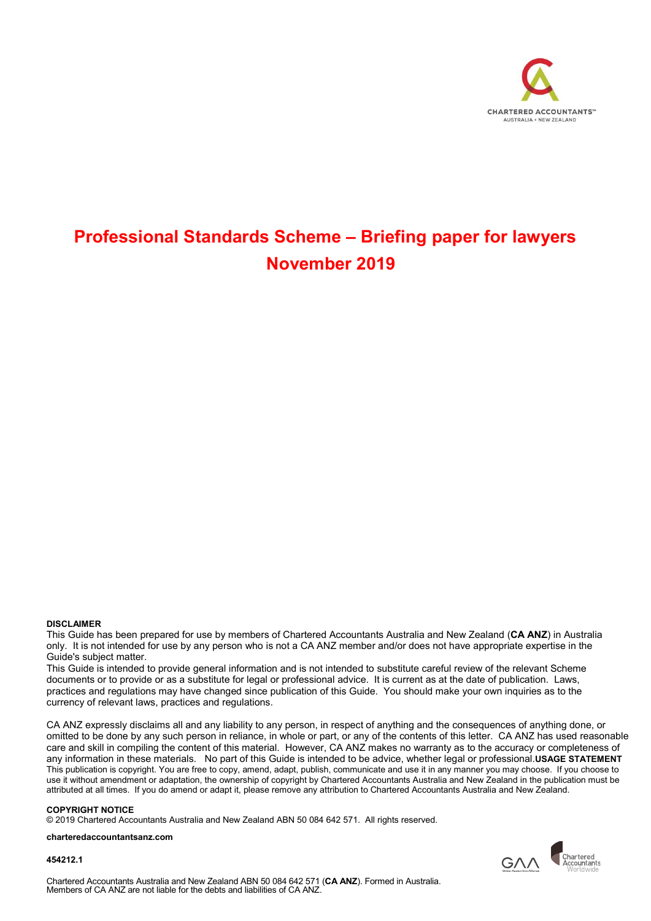

# Professional Standards Scheme – Briefing paper for lawyers November 2019

#### DISCLAIMER

This Guide has been prepared for use by members of Chartered Accountants Australia and New Zealand (CA ANZ) in Australia only. It is not intended for use by any person who is not a CA ANZ member and/or does not have appropriate expertise in the Guide's subject matter.

This Guide is intended to provide general information and is not intended to substitute careful review of the relevant Scheme documents or to provide or as a substitute for legal or professional advice. It is current as at the date of publication. Laws, practices and regulations may have changed since publication of this Guide. You should make your own inquiries as to the currency of relevant laws, practices and regulations.

CA ANZ expressly disclaims all and any liability to any person, in respect of anything and the consequences of anything done, or omitted to be done by any such person in reliance, in whole or part, or any of the contents of this letter. CA ANZ has used reasonable care and skill in compiling the content of this material. However, CA ANZ makes no warranty as to the accuracy or completeness of any information in these materials. No part of this Guide is intended to be advice, whether legal or professional.USAGE STATEMENT This publication is copyright. You are free to copy, amend, adapt, publish, communicate and use it in any manner you may choose. If you choose to use it without amendment or adaptation, the ownership of copyright by Chartered Accountants Australia and New Zealand in the publication must be attributed at all times. If you do amend or adapt it, please remove any attribution to Chartered Accountants Australia and New Zealand.

#### COPYRIGHT NOTICE

© 2019 Chartered Accountants Australia and New Zealand ABN 50 084 642 571. All rights reserved.

#### charteredaccountantsanz.com

454212.1



Chartered Accountants Australia and New Zealand ABN 50 084 642 571 (CA ANZ). Formed in Australia. Members of CA ANZ are not liable for the debts and liabilities of CA ANZ.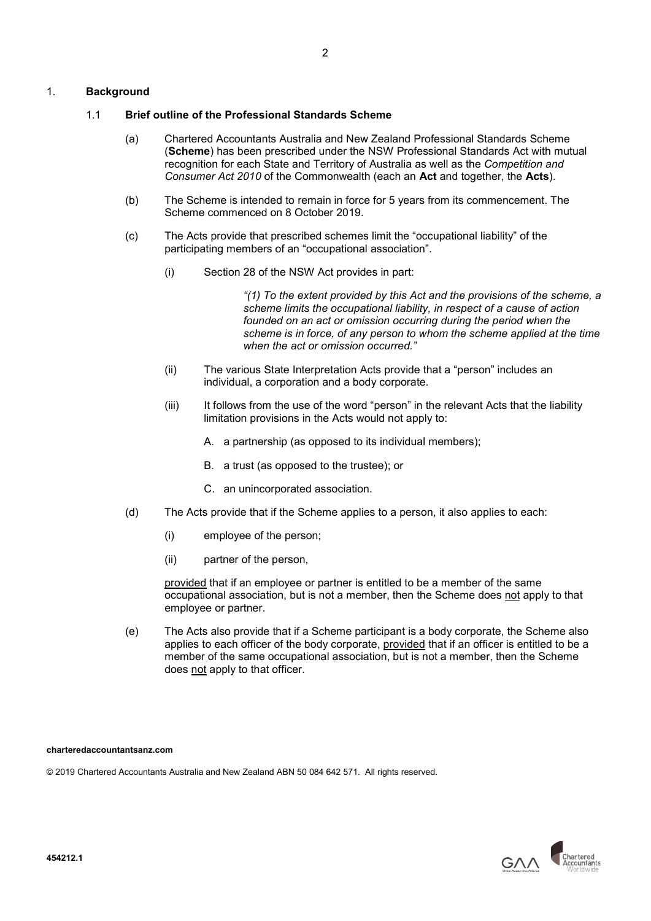## 1. Background

## 1.1 Brief outline of the Professional Standards Scheme

- (a) Chartered Accountants Australia and New Zealand Professional Standards Scheme (Scheme) has been prescribed under the NSW Professional Standards Act with mutual recognition for each State and Territory of Australia as well as the Competition and Consumer Act 2010 of the Commonwealth (each an Act and together, the Acts).
- (b) The Scheme is intended to remain in force for 5 years from its commencement. The Scheme commenced on 8 October 2019.
- (c) The Acts provide that prescribed schemes limit the "occupational liability" of the participating members of an "occupational association".
	- (i) Section 28 of the NSW Act provides in part:

"(1) To the extent provided by this Act and the provisions of the scheme, a scheme limits the occupational liability, in respect of a cause of action founded on an act or omission occurring during the period when the scheme is in force, of any person to whom the scheme applied at the time when the act or omission occurred."

- (ii) The various State Interpretation Acts provide that a "person" includes an individual, a corporation and a body corporate.
- (iii) It follows from the use of the word "person" in the relevant Acts that the liability limitation provisions in the Acts would not apply to:
	- A. a partnership (as opposed to its individual members);
	- B. a trust (as opposed to the trustee); or
	- C. an unincorporated association.
- (d) The Acts provide that if the Scheme applies to a person, it also applies to each:
	- (i) employee of the person;
	- (ii) partner of the person,

provided that if an employee or partner is entitled to be a member of the same occupational association, but is not a member, then the Scheme does not apply to that employee or partner.

(e) The Acts also provide that if a Scheme participant is a body corporate, the Scheme also applies to each officer of the body corporate, provided that if an officer is entitled to be a member of the same occupational association, but is not a member, then the Scheme does not apply to that officer.

charteredaccountantsanz.com

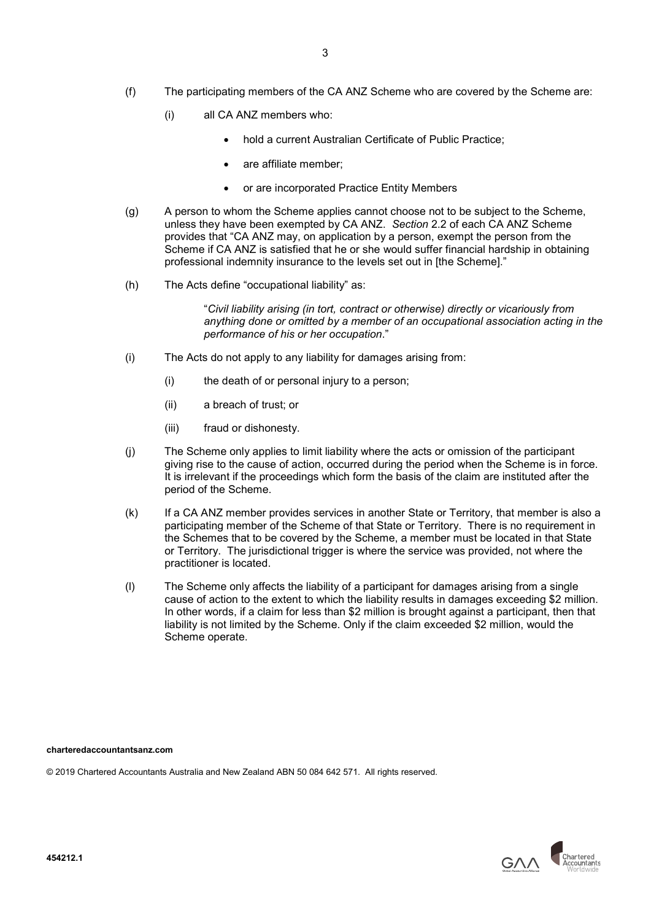- (f) The participating members of the CA ANZ Scheme who are covered by the Scheme are:
	- (i) all CA ANZ members who:
		- hold a current Australian Certificate of Public Practice;
		- are affiliate member;
		- or are incorporated Practice Entity Members
- (g) A person to whom the Scheme applies cannot choose not to be subject to the Scheme, unless they have been exempted by CA ANZ. Section 2.2 of each CA ANZ Scheme provides that "CA ANZ may, on application by a person, exempt the person from the Scheme if CA ANZ is satisfied that he or she would suffer financial hardship in obtaining professional indemnity insurance to the levels set out in [the Scheme]."
- (h) The Acts define "occupational liability" as:

"Civil liability arising (in tort, contract or otherwise) directly or vicariously from anything done or omitted by a member of an occupational association acting in the performance of his or her occupation."

- (i) The Acts do not apply to any liability for damages arising from:
	- (i) the death of or personal injury to a person;
	- (ii) a breach of trust; or
	- (iii) fraud or dishonesty.
- (j) The Scheme only applies to limit liability where the acts or omission of the participant giving rise to the cause of action, occurred during the period when the Scheme is in force. It is irrelevant if the proceedings which form the basis of the claim are instituted after the period of the Scheme.
- (k) If a CA ANZ member provides services in another State or Territory, that member is also a participating member of the Scheme of that State or Territory. There is no requirement in the Schemes that to be covered by the Scheme, a member must be located in that State or Territory. The jurisdictional trigger is where the service was provided, not where the practitioner is located.
- (l) The Scheme only affects the liability of a participant for damages arising from a single cause of action to the extent to which the liability results in damages exceeding \$2 million. In other words, if a claim for less than \$2 million is brought against a participant, then that liability is not limited by the Scheme. Only if the claim exceeded \$2 million, would the Scheme operate.

charteredaccountantsanz.com

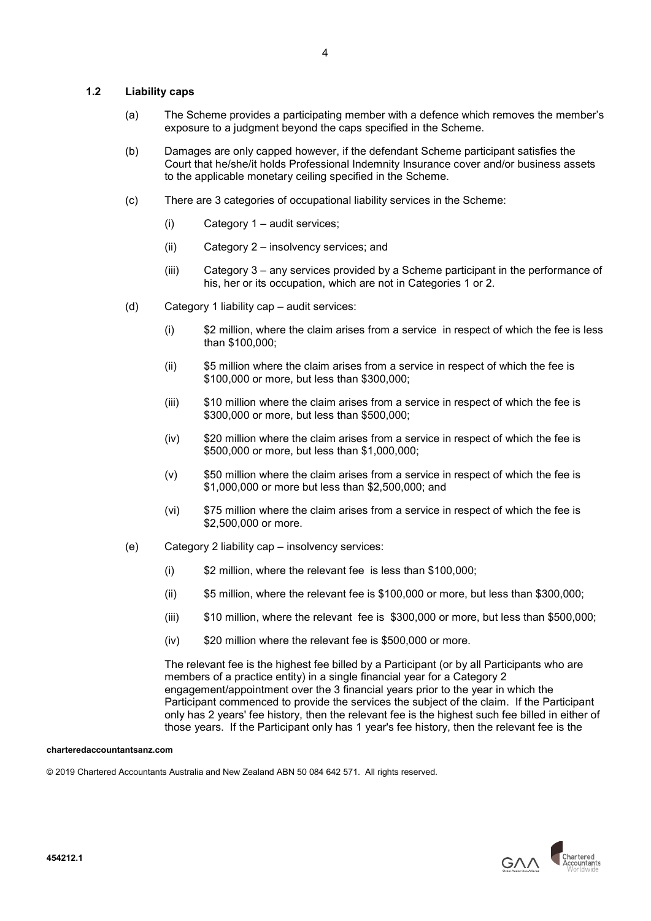## 1.2 Liability caps

- (a) The Scheme provides a participating member with a defence which removes the member's exposure to a judgment beyond the caps specified in the Scheme.
- (b) Damages are only capped however, if the defendant Scheme participant satisfies the Court that he/she/it holds Professional Indemnity Insurance cover and/or business assets to the applicable monetary ceiling specified in the Scheme.
- (c) There are 3 categories of occupational liability services in the Scheme:
	- (i) Category 1 audit services;
	- (ii) Category 2 insolvency services; and
	- (iii) Category 3 any services provided by a Scheme participant in the performance of his, her or its occupation, which are not in Categories 1 or 2.
- (d) Category 1 liability cap audit services:
	- (i) \$2 million, where the claim arises from a service in respect of which the fee is less than \$100,000;
	- (ii) \$5 million where the claim arises from a service in respect of which the fee is \$100,000 or more, but less than \$300,000;
	- (iii) \$10 million where the claim arises from a service in respect of which the fee is \$300,000 or more, but less than \$500,000;
	- (iv) \$20 million where the claim arises from a service in respect of which the fee is \$500,000 or more, but less than \$1,000,000;
	- (v) \$50 million where the claim arises from a service in respect of which the fee is \$1,000,000 or more but less than \$2,500,000; and
	- (vi) \$75 million where the claim arises from a service in respect of which the fee is \$2,500,000 or more.
- (e) Category 2 liability cap insolvency services:
	- (i) \$2 million, where the relevant fee is less than \$100,000;
	- (ii) \$5 million, where the relevant fee is \$100,000 or more, but less than \$300,000;
	- (iii) \$10 million, where the relevant fee is \$300,000 or more, but less than \$500,000;
	- (iv) \$20 million where the relevant fee is \$500,000 or more.

The relevant fee is the highest fee billed by a Participant (or by all Participants who are members of a practice entity) in a single financial year for a Category 2 engagement/appointment over the 3 financial years prior to the year in which the Participant commenced to provide the services the subject of the claim. If the Participant only has 2 years' fee history, then the relevant fee is the highest such fee billed in either of those years. If the Participant only has 1 year's fee history, then the relevant fee is the

#### charteredaccountantsanz.com

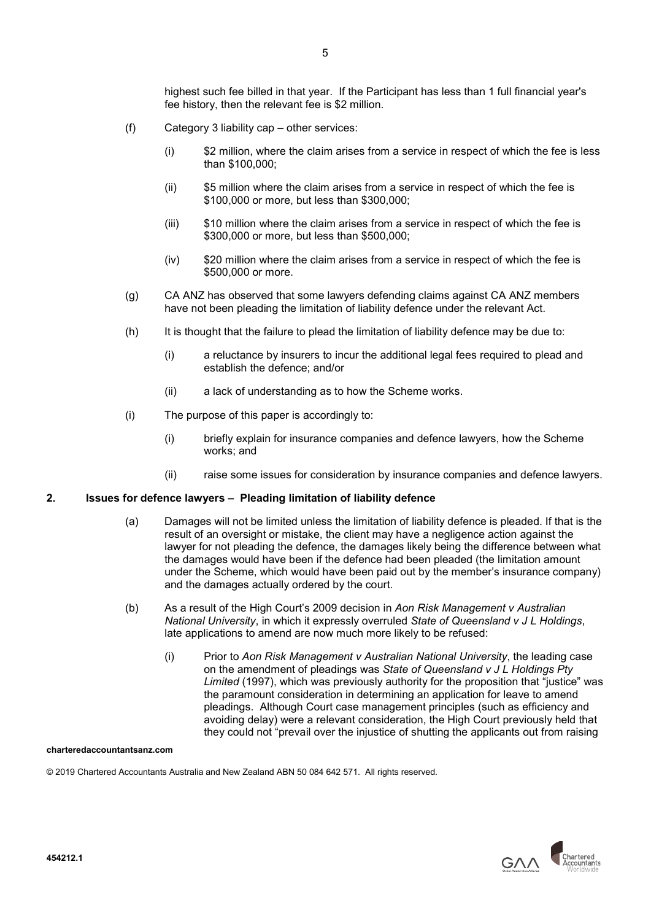highest such fee billed in that year. If the Participant has less than 1 full financial year's fee history, then the relevant fee is \$2 million.

- (f) Category 3 liability cap other services:
	- (i) \$2 million, where the claim arises from a service in respect of which the fee is less than \$100,000;
	- (ii) \$5 million where the claim arises from a service in respect of which the fee is \$100,000 or more, but less than \$300,000;
	- (iii) \$10 million where the claim arises from a service in respect of which the fee is \$300,000 or more, but less than \$500,000;
	- (iv) \$20 million where the claim arises from a service in respect of which the fee is \$500,000 or more.
- (g) CA ANZ has observed that some lawyers defending claims against CA ANZ members have not been pleading the limitation of liability defence under the relevant Act.
- (h) It is thought that the failure to plead the limitation of liability defence may be due to:
	- (i) a reluctance by insurers to incur the additional legal fees required to plead and establish the defence; and/or
	- (ii) a lack of understanding as to how the Scheme works.
- (i) The purpose of this paper is accordingly to:
	- (i) briefly explain for insurance companies and defence lawyers, how the Scheme works; and
	- (ii) raise some issues for consideration by insurance companies and defence lawyers.

# 2. Issues for defence lawyers – Pleading limitation of liability defence

- (a) Damages will not be limited unless the limitation of liability defence is pleaded. If that is the result of an oversight or mistake, the client may have a negligence action against the lawyer for not pleading the defence, the damages likely being the difference between what the damages would have been if the defence had been pleaded (the limitation amount under the Scheme, which would have been paid out by the member's insurance company) and the damages actually ordered by the court.
- (b) As a result of the High Court's 2009 decision in Aon Risk Management v Australian National University, in which it expressly overruled State of Queensland v J L Holdings, late applications to amend are now much more likely to be refused:
	- (i) Prior to Aon Risk Management v Australian National University, the leading case on the amendment of pleadings was State of Queensland v J L Holdings Pty Limited (1997), which was previously authority for the proposition that "justice" was the paramount consideration in determining an application for leave to amend pleadings. Although Court case management principles (such as efficiency and avoiding delay) were a relevant consideration, the High Court previously held that they could not "prevail over the injustice of shutting the applicants out from raising

### charteredaccountantsanz.com

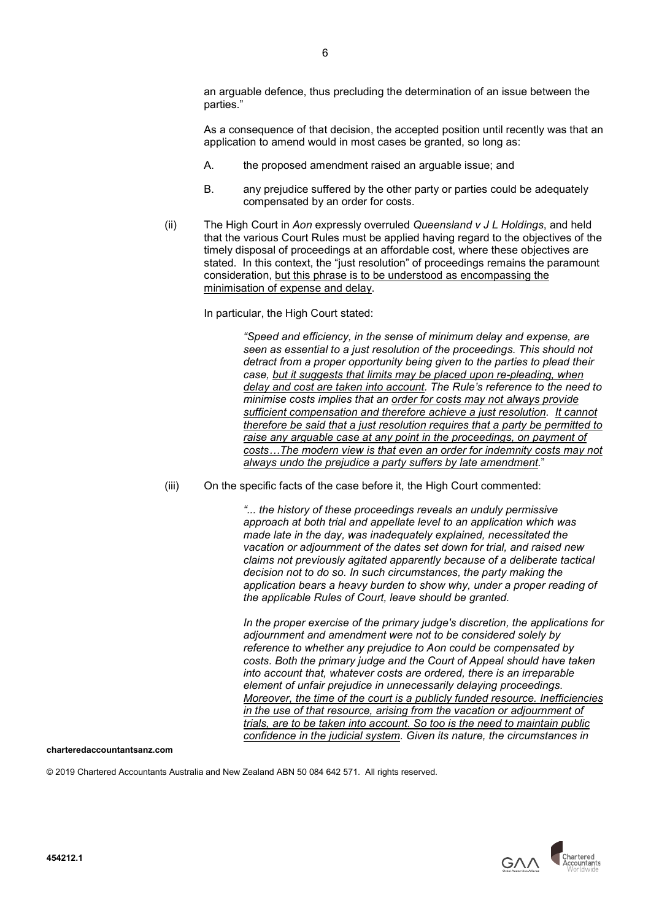an arguable defence, thus precluding the determination of an issue between the parties."

As a consequence of that decision, the accepted position until recently was that an application to amend would in most cases be granted, so long as:

- A. the proposed amendment raised an arguable issue; and
- B. any prejudice suffered by the other party or parties could be adequately compensated by an order for costs.
- (ii) The High Court in Aon expressly overruled Queensland  $v J L$  Holdings, and held that the various Court Rules must be applied having regard to the objectives of the timely disposal of proceedings at an affordable cost, where these objectives are stated. In this context, the "just resolution" of proceedings remains the paramount consideration, but this phrase is to be understood as encompassing the minimisation of expense and delay.

In particular, the High Court stated:

"Speed and efficiency, in the sense of minimum delay and expense, are seen as essential to a just resolution of the proceedings. This should not detract from a proper opportunity being given to the parties to plead their case, but it suggests that limits may be placed upon re-pleading, when delay and cost are taken into account. The Rule's reference to the need to minimise costs implies that an order for costs may not always provide sufficient compensation and therefore achieve a just resolution. It cannot therefore be said that a just resolution requires that a party be permitted to raise any arguable case at any point in the proceedings, on payment of costs…The modern view is that even an order for indemnity costs may not always undo the prejudice a party suffers by late amendment."

(iii) On the specific facts of the case before it, the High Court commented:

"... the history of these proceedings reveals an unduly permissive approach at both trial and appellate level to an application which was made late in the day, was inadequately explained, necessitated the vacation or adjournment of the dates set down for trial, and raised new claims not previously agitated apparently because of a deliberate tactical decision not to do so. In such circumstances, the party making the application bears a heavy burden to show why, under a proper reading of the applicable Rules of Court, leave should be granted.

In the proper exercise of the primary judge's discretion, the applications for adjournment and amendment were not to be considered solely by reference to whether any prejudice to Aon could be compensated by costs. Both the primary judge and the Court of Appeal should have taken into account that, whatever costs are ordered, there is an irreparable element of unfair prejudice in unnecessarily delaying proceedings. Moreover, the time of the court is a publicly funded resource. Inefficiencies in the use of that resource, arising from the vacation or adjournment of trials, are to be taken into account. So too is the need to maintain public confidence in the judicial system. Given its nature, the circumstances in

charteredaccountantsanz.com